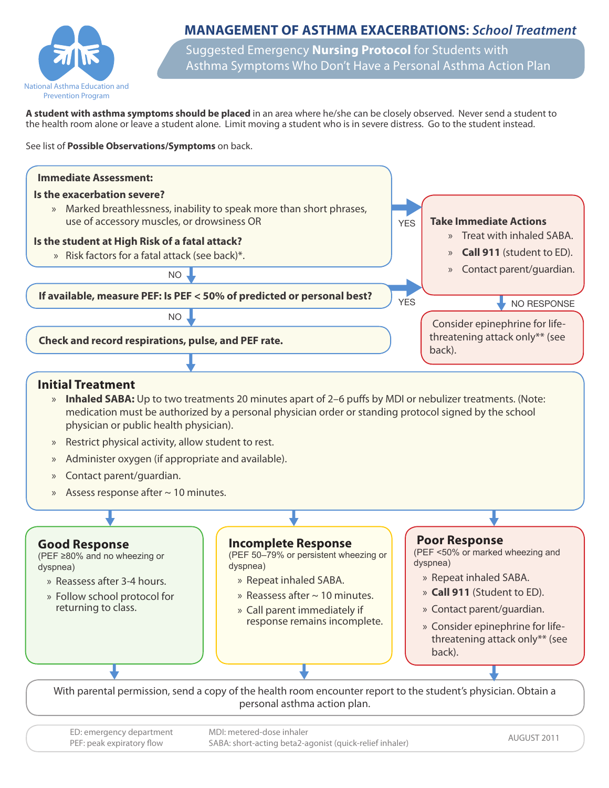

# **MANAGEMENT OF ASTHMA EXACERBATIONS: School Treatment**

Suggested Emergency **Nursing Protocol** for Students with Asthma Symptoms Who Don't Have a Personal Asthma Action Plan

**A student with asthma symptoms should be placed** in an area where he/she can be closely observed. Never send a student to the health room alone or leave a student alone. Limit moving a student who is in severe distress. Go to the student instead.

See list of **Possible Observations/Symptoms** on back.